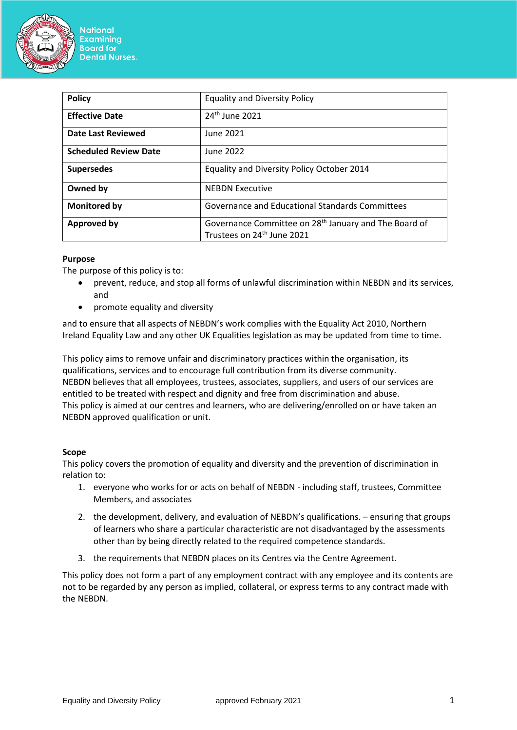

| <b>Policy</b>                | <b>Equality and Diversity Policy</b>                                                                        |
|------------------------------|-------------------------------------------------------------------------------------------------------------|
| <b>Effective Date</b>        | 24 <sup>th</sup> June 2021                                                                                  |
| <b>Date Last Reviewed</b>    | June 2021                                                                                                   |
| <b>Scheduled Review Date</b> | June 2022                                                                                                   |
| <b>Supersedes</b>            | Equality and Diversity Policy October 2014                                                                  |
| Owned by                     | <b>NEBDN Executive</b>                                                                                      |
| Monitored by                 | Governance and Educational Standards Committees                                                             |
| <b>Approved by</b>           | Governance Committee on 28 <sup>th</sup> January and The Board of<br>Trustees on 24 <sup>th</sup> June 2021 |

# **Purpose**

The purpose of this policy is to:

- prevent, reduce, and stop all forms of unlawful discrimination within NEBDN and its services, and
- promote equality and diversity

and to ensure that all aspects of NEBDN's work complies with the Equality Act 2010, Northern Ireland Equality Law and any other UK Equalities legislation as may be updated from time to time.

This policy aims to remove unfair and discriminatory practices within the organisation, its qualifications, services and to encourage full contribution from its diverse community. NEBDN believes that all employees, trustees, associates, suppliers, and users of our services are entitled to be treated with respect and dignity and free from discrimination and abuse. This policy is aimed at our centres and learners, who are delivering/enrolled on or have taken an NEBDN approved qualification or unit.

### **Scope**

This policy covers the promotion of equality and diversity and the prevention of discrimination in relation to:

- 1. everyone who works for or acts on behalf of NEBDN including staff, trustees, Committee Members, and associates
- 2. the development, delivery, and evaluation of NEBDN's qualifications. ensuring that groups of learners who share a particular characteristic are not disadvantaged by the assessments other than by being directly related to the required competence standards.
- 3. the requirements that NEBDN places on its Centres via the Centre Agreement.

This policy does not form a part of any employment contract with any employee and its contents are not to be regarded by any person as implied, collateral, or express terms to any contract made with the NEBDN.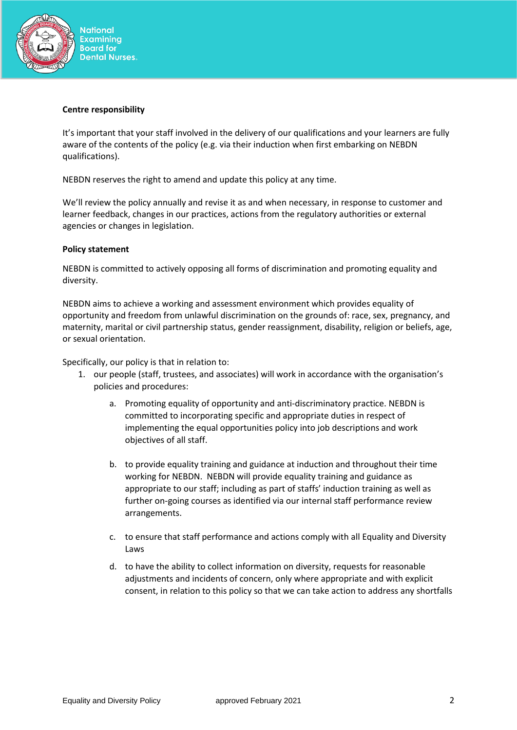

#### **Centre responsibility**

It's important that your staff involved in the delivery of our qualifications and your learners are fully aware of the contents of the policy (e.g. via their induction when first embarking on NEBDN qualifications).

NEBDN reserves the right to amend and update this policy at any time.

We'll review the policy annually and revise it as and when necessary, in response to customer and learner feedback, changes in our practices, actions from the regulatory authorities or external agencies or changes in legislation.

## **Policy statement**

NEBDN is committed to actively opposing all forms of discrimination and promoting equality and diversity.

NEBDN aims to achieve a working and assessment environment which provides equality of opportunity and freedom from unlawful discrimination on the grounds of: race, sex, pregnancy, and maternity, marital or civil partnership status, gender reassignment, disability, religion or beliefs, age, or sexual orientation.

Specifically, our policy is that in relation to:

- 1. our people (staff, trustees, and associates) will work in accordance with the organisation's policies and procedures:
	- a. Promoting equality of opportunity and anti-discriminatory practice. NEBDN is committed to incorporating specific and appropriate duties in respect of implementing the equal opportunities policy into job descriptions and work objectives of all staff.
	- b. to provide equality training and guidance at induction and throughout their time working for NEBDN. NEBDN will provide equality training and guidance as appropriate to our staff; including as part of staffs' induction training as well as further on-going courses as identified via our internal staff performance review arrangements.
	- c. to ensure that staff performance and actions comply with all Equality and Diversity Laws
	- d. to have the ability to collect information on diversity, requests for reasonable adjustments and incidents of concern, only where appropriate and with explicit consent, in relation to this policy so that we can take action to address any shortfalls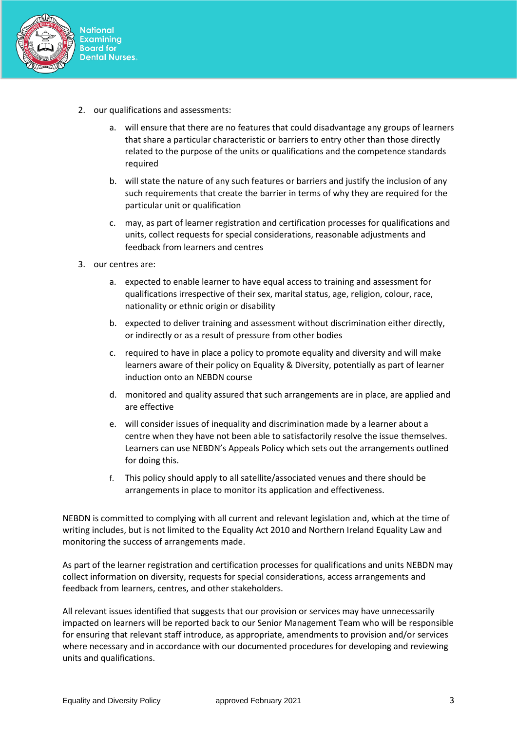

- 2. our qualifications and assessments:
	- a. will ensure that there are no features that could disadvantage any groups of learners that share a particular characteristic or barriers to entry other than those directly related to the purpose of the units or qualifications and the competence standards required
	- b. will state the nature of any such features or barriers and justify the inclusion of any such requirements that create the barrier in terms of why they are required for the particular unit or qualification
	- c. may, as part of learner registration and certification processes for qualifications and units, collect requests for special considerations, reasonable adjustments and feedback from learners and centres
- 3. our centres are:
	- a. expected to enable learner to have equal access to training and assessment for qualifications irrespective of their sex, marital status, age, religion, colour, race, nationality or ethnic origin or disability
	- b. expected to deliver training and assessment without discrimination either directly, or indirectly or as a result of pressure from other bodies
	- c. required to have in place a policy to promote equality and diversity and will make learners aware of their policy on Equality & Diversity, potentially as part of learner induction onto an NEBDN course
	- d. monitored and quality assured that such arrangements are in place, are applied and are effective
	- e. will consider issues of inequality and discrimination made by a learner about a centre when they have not been able to satisfactorily resolve the issue themselves. Learners can use NEBDN's Appeals Policy which sets out the arrangements outlined for doing this.
	- f. This policy should apply to all satellite/associated venues and there should be arrangements in place to monitor its application and effectiveness.

NEBDN is committed to complying with all current and relevant legislation and, which at the time of writing includes, but is not limited to the Equality Act 2010 and Northern Ireland Equality Law and monitoring the success of arrangements made.

As part of the learner registration and certification processes for qualifications and units NEBDN may collect information on diversity, requests for special considerations, access arrangements and feedback from learners, centres, and other stakeholders.

All relevant issues identified that suggests that our provision or services may have unnecessarily impacted on learners will be reported back to our Senior Management Team who will be responsible for ensuring that relevant staff introduce, as appropriate, amendments to provision and/or services where necessary and in accordance with our documented procedures for developing and reviewing units and qualifications.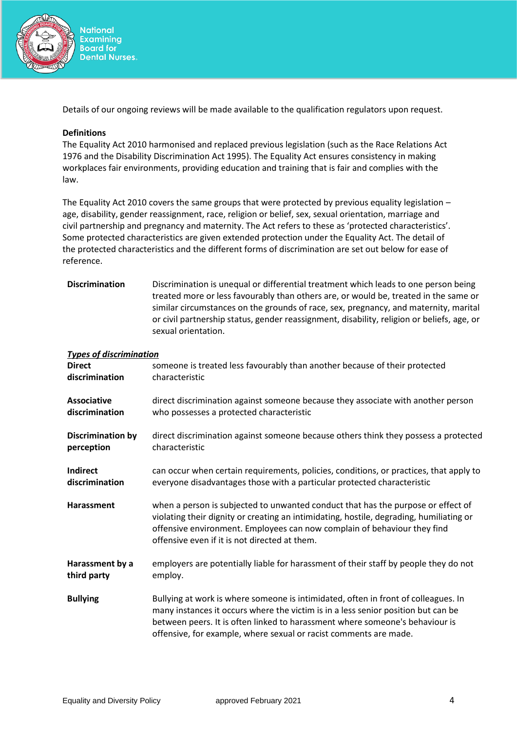

Details of our ongoing reviews will be made available to the qualification regulators upon request.

## **Definitions**

The Equality Act 2010 harmonised and replaced previous legislation (such as the Race Relations Act 1976 and the Disability Discrimination Act 1995). The Equality Act ensures consistency in making workplaces fair environments, providing education and training that is fair and complies with the law.

The Equality Act 2010 covers the same groups that were protected by previous equality legislation – age, disability, gender reassignment, race, religion or belief, sex, sexual orientation, marriage and civil partnership and pregnancy and maternity. The Act refers to these as 'protected characteristics'. Some protected characteristics are given extended protection under the Equality Act. The detail of the protected characteristics and the different forms of discrimination are set out below for ease of reference.

| <b>Discrimination</b> | Discrimination is unequal or differential treatment which leads to one person being        |
|-----------------------|--------------------------------------------------------------------------------------------|
|                       | treated more or less favourably than others are, or would be, treated in the same or       |
|                       | similar circumstances on the grounds of race, sex, pregnancy, and maternity, marital       |
|                       | or civil partnership status, gender reassignment, disability, religion or beliefs, age, or |
|                       | sexual orientation.                                                                        |

### *Types of discrimination*

| <b>Direct</b>            | someone is treated less favourably than another because of their protected                                                                                                                                                                                                                                                   |
|--------------------------|------------------------------------------------------------------------------------------------------------------------------------------------------------------------------------------------------------------------------------------------------------------------------------------------------------------------------|
| discrimination           | characteristic                                                                                                                                                                                                                                                                                                               |
| Associative              | direct discrimination against someone because they associate with another person                                                                                                                                                                                                                                             |
| discrimination           | who possesses a protected characteristic                                                                                                                                                                                                                                                                                     |
| <b>Discrimination by</b> | direct discrimination against someone because others think they possess a protected                                                                                                                                                                                                                                          |
| perception               | characteristic                                                                                                                                                                                                                                                                                                               |
| <b>Indirect</b>          | can occur when certain requirements, policies, conditions, or practices, that apply to                                                                                                                                                                                                                                       |
| discrimination           | everyone disadvantages those with a particular protected characteristic                                                                                                                                                                                                                                                      |
| Harassment               | when a person is subjected to unwanted conduct that has the purpose or effect of<br>violating their dignity or creating an intimidating, hostile, degrading, humiliating or<br>offensive environment. Employees can now complain of behaviour they find<br>offensive even if it is not directed at them.                     |
| Harassment by a          | employers are potentially liable for harassment of their staff by people they do not                                                                                                                                                                                                                                         |
| third party              | employ.                                                                                                                                                                                                                                                                                                                      |
| <b>Bullying</b>          | Bullying at work is where someone is intimidated, often in front of colleagues. In<br>many instances it occurs where the victim is in a less senior position but can be<br>between peers. It is often linked to harassment where someone's behaviour is<br>offensive, for example, where sexual or racist comments are made. |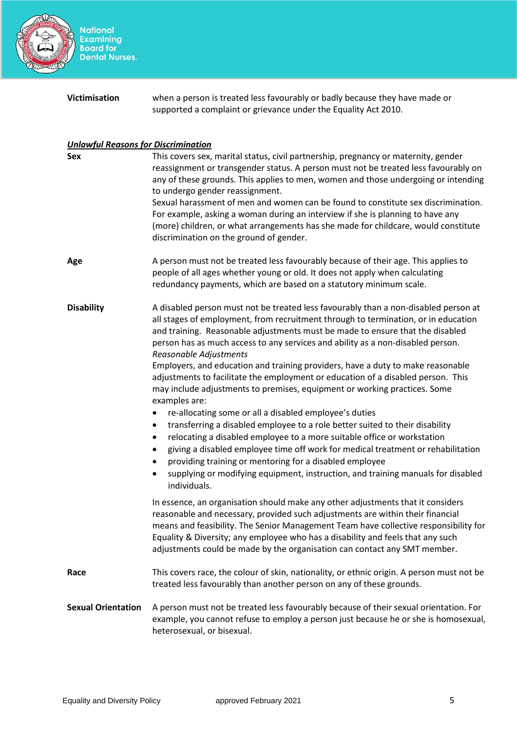

National<br>Examining<br>Board for<br>Dental Nurses.

| <b>Victimisation</b> | when a person is treated less favourably or badly because they have made or |
|----------------------|-----------------------------------------------------------------------------|
|                      | supported a complaint or grievance under the Equality Act 2010.             |

#### *Unlawful Reasons for Discrimination*

| <b>Sex</b>                | This covers sex, marital status, civil partnership, pregnancy or maternity, gender<br>reassignment or transgender status. A person must not be treated less favourably on<br>any of these grounds. This applies to men, women and those undergoing or intending<br>to undergo gender reassignment.<br>Sexual harassment of men and women can be found to constitute sex discrimination.<br>For example, asking a woman during an interview if she is planning to have any<br>(more) children, or what arrangements has she made for childcare, would constitute<br>discrimination on the ground of gender.                                                                                                                                                                                                                                                                                                                                                                                                                                                                                                                                  |
|---------------------------|---------------------------------------------------------------------------------------------------------------------------------------------------------------------------------------------------------------------------------------------------------------------------------------------------------------------------------------------------------------------------------------------------------------------------------------------------------------------------------------------------------------------------------------------------------------------------------------------------------------------------------------------------------------------------------------------------------------------------------------------------------------------------------------------------------------------------------------------------------------------------------------------------------------------------------------------------------------------------------------------------------------------------------------------------------------------------------------------------------------------------------------------|
| Age                       | A person must not be treated less favourably because of their age. This applies to<br>people of all ages whether young or old. It does not apply when calculating<br>redundancy payments, which are based on a statutory minimum scale.                                                                                                                                                                                                                                                                                                                                                                                                                                                                                                                                                                                                                                                                                                                                                                                                                                                                                                     |
| <b>Disability</b>         | A disabled person must not be treated less favourably than a non-disabled person at<br>all stages of employment, from recruitment through to termination, or in education<br>and training. Reasonable adjustments must be made to ensure that the disabled<br>person has as much access to any services and ability as a non-disabled person.<br>Reasonable Adjustments<br>Employers, and education and training providers, have a duty to make reasonable<br>adjustments to facilitate the employment or education of a disabled person. This<br>may include adjustments to premises, equipment or working practices. Some<br>examples are:<br>re-allocating some or all a disabled employee's duties<br>transferring a disabled employee to a role better suited to their disability<br>٠<br>relocating a disabled employee to a more suitable office or workstation<br>$\bullet$<br>giving a disabled employee time off work for medical treatment or rehabilitation<br>٠<br>providing training or mentoring for a disabled employee<br>supplying or modifying equipment, instruction, and training manuals for disabled<br>individuals. |
|                           | In essence, an organisation should make any other adjustments that it considers<br>reasonable and necessary, provided such adjustments are within their financial<br>means and feasibility. The Senior Management Team have collective responsibility for<br>Equality & Diversity; any employee who has a disability and feels that any such<br>adjustments could be made by the organisation can contact any SMT member.                                                                                                                                                                                                                                                                                                                                                                                                                                                                                                                                                                                                                                                                                                                   |
| Race                      | This covers race, the colour of skin, nationality, or ethnic origin. A person must not be<br>treated less favourably than another person on any of these grounds.                                                                                                                                                                                                                                                                                                                                                                                                                                                                                                                                                                                                                                                                                                                                                                                                                                                                                                                                                                           |
| <b>Sexual Orientation</b> | A person must not be treated less favourably because of their sexual orientation. For<br>example, you cannot refuse to employ a person just because he or she is homosexual,<br>heterosexual, or bisexual.                                                                                                                                                                                                                                                                                                                                                                                                                                                                                                                                                                                                                                                                                                                                                                                                                                                                                                                                  |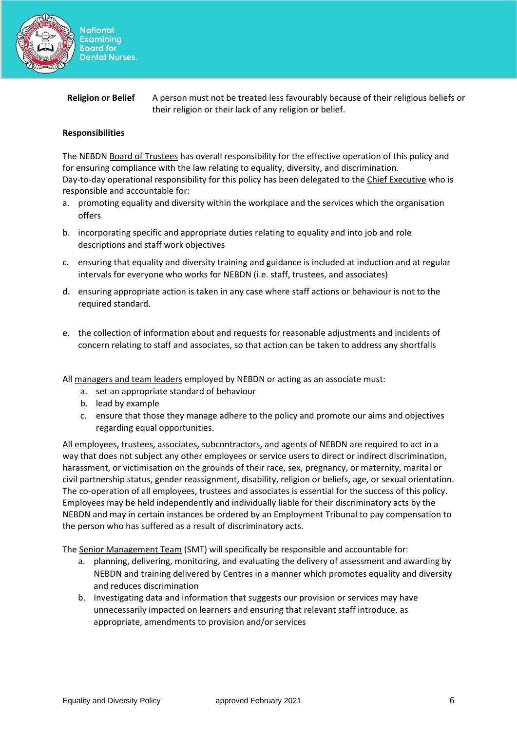

# **Religion or Belief** A person must not be treated less favourably because of their religious beliefs or their religion or their lack of any religion or belief.

# **Responsibilities**

The NEBDN Board of Trustees has overall responsibility for the effective operation of this policy and for ensuring compliance with the law relating to equality, diversity, and discrimination. Day-to-day operational responsibility for this policy has been delegated to the Chief Executive who is responsible and accountable for:

- a. promoting equality and diversity within the workplace and the services which the organisation offers
- b. incorporating specific and appropriate duties relating to equality and into job and role descriptions and staff work objectives
- c. ensuring that equality and diversity training and guidance is included at induction and at regular intervals for everyone who works for NEBDN (i.e. staff, trustees, and associates)
- d. ensuring appropriate action is taken in any case where staff actions or behaviour is not to the required standard.
- e. the collection of information about and requests for reasonable adjustments and incidents of concern relating to staff and associates, so that action can be taken to address any shortfalls
- All managers and team leaders employed by NEBDN or acting as an associate must:
	- a. set an appropriate standard of behaviour
	- b. lead by example
	- c. ensure that those they manage adhere to the policy and promote our aims and objectives regarding equal opportunities.

All employees, trustees, associates, subcontractors, and agents of NEBDN are required to act in a way that does not subject any other employees or service users to direct or indirect discrimination, harassment, or victimisation on the grounds of their race, sex, pregnancy, or maternity, marital or civil partnership status, gender reassignment, disability, religion or beliefs, age, or sexual orientation. The co-operation of all employees, trustees and associates is essential for the success of this policy. Employees may be held independently and individually liable for their discriminatory acts by the NEBDN and may in certain instances be ordered by an Employment Tribunal to pay compensation to the person who has suffered as a result of discriminatory acts.

The Senior Management Team (SMT) will specifically be responsible and accountable for:

- a. planning, delivering, monitoring, and evaluating the delivery of assessment and awarding by NEBDN and training delivered by Centres in a manner which promotes equality and diversity and reduces discrimination
- b. Investigating data and information that suggests our provision or services may have unnecessarily impacted on learners and ensuring that relevant staff introduce, as appropriate, amendments to provision and/or services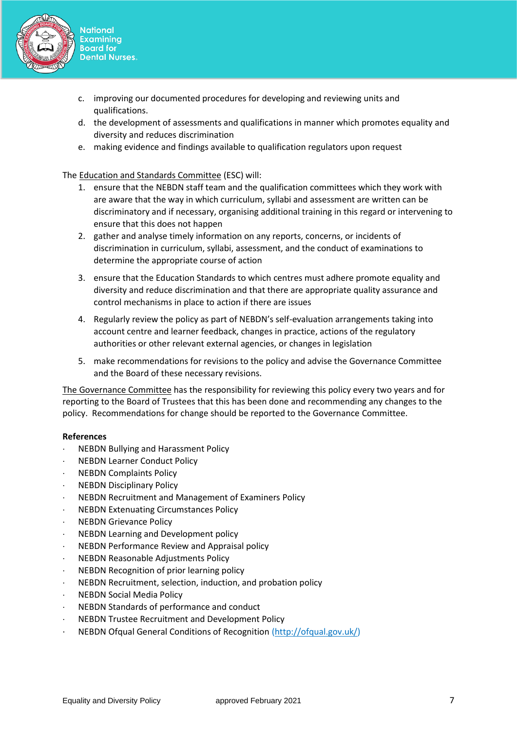

- **National Examining Board for Dental Nurses.**
- c. improving our documented procedures for developing and reviewing units and qualifications.
- d. the development of assessments and qualifications in manner which promotes equality and diversity and reduces discrimination
- e. making evidence and findings available to qualification regulators upon request

The Education and Standards Committee (ESC) will:

- 1. ensure that the NEBDN staff team and the qualification committees which they work with are aware that the way in which curriculum, syllabi and assessment are written can be discriminatory and if necessary, organising additional training in this regard or intervening to ensure that this does not happen
- 2. gather and analyse timely information on any reports, concerns, or incidents of discrimination in curriculum, syllabi, assessment, and the conduct of examinations to determine the appropriate course of action
- 3. ensure that the Education Standards to which centres must adhere promote equality and diversity and reduce discrimination and that there are appropriate quality assurance and control mechanisms in place to action if there are issues
- 4. Regularly review the policy as part of NEBDN's self-evaluation arrangements taking into account centre and learner feedback, changes in practice, actions of the regulatory authorities or other relevant external agencies, or changes in legislation
- 5. make recommendations for revisions to the policy and advise the Governance Committee and the Board of these necessary revisions.

The Governance Committee has the responsibility for reviewing this policy every two years and for reporting to the Board of Trustees that this has been done and recommending any changes to the policy. Recommendations for change should be reported to the Governance Committee.

### **References**

- NEBDN Bullying and Harassment Policy
- NEBDN Learner Conduct Policy
- . NEBDN Complaints Policy
- NEBDN Disciplinary Policy
- NEBDN Recruitment and Management of Examiners Policy
- NEBDN Extenuating Circumstances Policy
- NEBDN Grievance Policy
- NEBDN Learning and Development policy
- NEBDN Performance Review and Appraisal policy
- NEBDN Reasonable Adjustments Policy
- NEBDN Recognition of prior learning policy
- NEBDN Recruitment, selection, induction, and probation policy
- NEBDN Social Media Policy
- NEBDN Standards of performance and conduct
- NEBDN Trustee Recruitment and Development Policy
- NEBDN Ofqual General Conditions of Recognition [\(http://ofqual.gov.uk/\)](http://ofqual.gov.uk/)